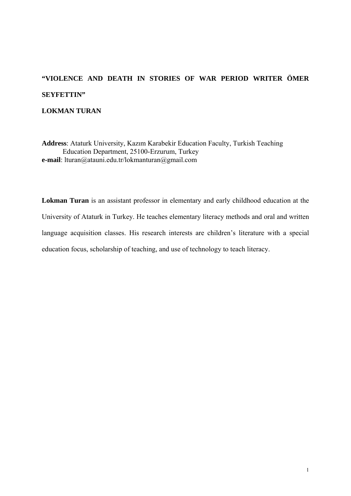# **"VIOLENCE AND DEATH IN STORIES OF WAR PERIOD WRITER ÖMER SEYFETTIN" LOKMAN TURAN**

**Address**: Ataturk University, Kazım Karabekir Education Faculty, Turkish Teaching Education Department, 25100-Erzurum, Turkey **e-mail**: lturan@atauni.edu.tr/lokmanturan@gmail.com

**Lokman Turan** is an assistant professor in elementary and early childhood education at the University of Ataturk in Turkey. He teaches elementary literacy methods and oral and written language acquisition classes. His research interests are children's literature with a special education focus, scholarship of teaching, and use of technology to teach literacy.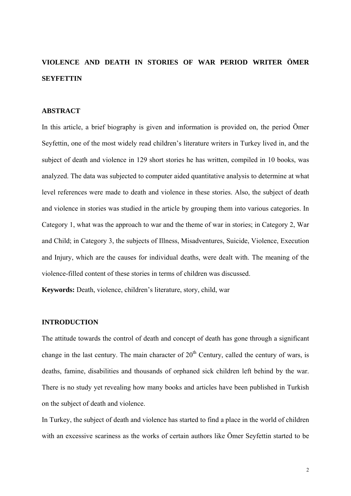# **VIOLENCE AND DEATH IN STORIES OF WAR PERIOD WRITER ÖMER SEYFETTIN**

### **ABSTRACT**

In this article, a brief biography is given and information is provided on, the period Ömer Seyfettin, one of the most widely read children's literature writers in Turkey lived in, and the subject of death and violence in 129 short stories he has written, compiled in 10 books, was analyzed. The data was subjected to computer aided quantitative analysis to determine at what level references were made to death and violence in these stories. Also, the subject of death and violence in stories was studied in the article by grouping them into various categories. In Category 1, what was the approach to war and the theme of war in stories; in Category 2, War and Child; in Category 3, the subjects of Illness, Misadventures, Suicide, Violence, Execution and Injury, which are the causes for individual deaths, were dealt with. The meaning of the violence-filled content of these stories in terms of children was discussed.

**Keywords:** Death, violence, children's literature, story, child, war

## **INTRODUCTION**

The attitude towards the control of death and concept of death has gone through a significant change in the last century. The main character of  $20<sup>th</sup>$  Century, called the century of wars, is deaths, famine, disabilities and thousands of orphaned sick children left behind by the war. There is no study yet revealing how many books and articles have been published in Turkish on the subject of death and violence.

In Turkey, the subject of death and violence has started to find a place in the world of children with an excessive scariness as the works of certain authors like Ömer Seyfettin started to be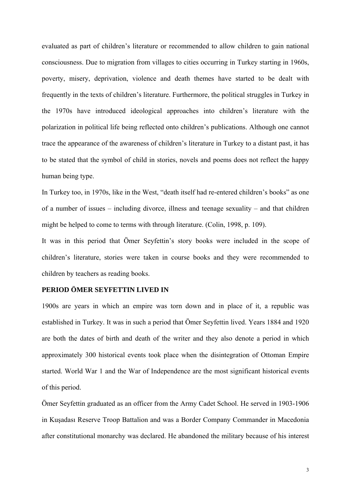evaluated as part of children's literature or recommended to allow children to gain national consciousness. Due to migration from villages to cities occurring in Turkey starting in 1960s, poverty, misery, deprivation, violence and death themes have started to be dealt with frequently in the texts of children's literature. Furthermore, the political struggles in Turkey in the 1970s have introduced ideological approaches into children's literature with the polarization in political life being reflected onto children's publications. Although one cannot trace the appearance of the awareness of children's literature in Turkey to a distant past, it has to be stated that the symbol of child in stories, novels and poems does not reflect the happy human being type.

In Turkey too, in 1970s, like in the West, "death itself had re-entered children's books" as one of a number of issues – including divorce, illness and teenage sexuality – and that children might be helped to come to terms with through literature. (Colin, 1998, p. 109).

It was in this period that Ömer Seyfettin's story books were included in the scope of children's literature, stories were taken in course books and they were recommended to children by teachers as reading books.

### **PERIOD ÖMER SEYFETTIN LIVED IN**

1900s are years in which an empire was torn down and in place of it, a republic was established in Turkey. It was in such a period that Ömer Seyfettin lived. Years 1884 and 1920 are both the dates of birth and death of the writer and they also denote a period in which approximately 300 historical events took place when the disintegration of Ottoman Empire started. World War 1 and the War of Independence are the most significant historical events of this period.

Ömer Seyfettin graduated as an officer from the Army Cadet School. He served in 1903-1906 in Kuşadası Reserve Troop Battalion and was a Border Company Commander in Macedonia after constitutional monarchy was declared. He abandoned the military because of his interest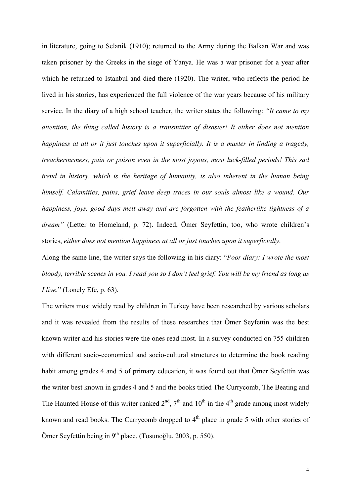in literature, going to Selanik (1910); returned to the Army during the Balkan War and was taken prisoner by the Greeks in the siege of Yanya. He was a war prisoner for a year after which he returned to Istanbul and died there (1920). The writer, who reflects the period he lived in his stories, has experienced the full violence of the war years because of his military service. In the diary of a high school teacher, the writer states the following: *"It came to my attention, the thing called history is a transmitter of disaster! It either does not mention happiness at all or it just touches upon it superficially. It is a master in finding a tragedy, treacherousness, pain or poison even in the most joyous, most luck-filled periods! This sad trend in history, which is the heritage of humanity, is also inherent in the human being himself. Calamities, pains, grief leave deep traces in our souls almost like a wound. Our happiness, joys, good days melt away and are forgotten with the featherlike lightness of a dream"* (Letter to Homeland, p. 72). Indeed, Ömer Seyfettin, too, who wrote children's stories, *either does not mention happiness at all or just touches upon it superficially*.

Along the same line, the writer says the following in his diary: "*Poor diary: I wrote the most bloody, terrible scenes in you. I read you so I don't feel grief. You will be my friend as long as I live.*" (Lonely Efe, p. 63).

The writers most widely read by children in Turkey have been researched by various scholars and it was revealed from the results of these researches that Ömer Seyfettin was the best known writer and his stories were the ones read most. In a survey conducted on 755 children with different socio-economical and socio-cultural structures to determine the book reading habit among grades 4 and 5 of primary education, it was found out that Ömer Seyfettin was the writer best known in grades 4 and 5 and the books titled The Currycomb, The Beating and The Haunted House of this writer ranked  $2<sup>nd</sup>$ ,  $7<sup>th</sup>$  and  $10<sup>th</sup>$  in the 4<sup>th</sup> grade among most widely known and read books. The Currycomb dropped to  $4<sup>th</sup>$  place in grade 5 with other stories of Ömer Seyfettin being in 9<sup>th</sup> place. (Tosunoğlu, 2003, p. 550).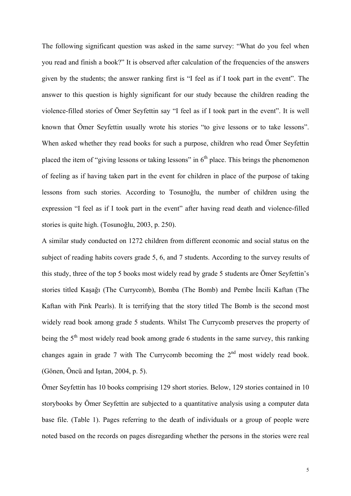The following significant question was asked in the same survey: "What do you feel when you read and finish a book?" It is observed after calculation of the frequencies of the answers given by the students; the answer ranking first is "I feel as if I took part in the event". The answer to this question is highly significant for our study because the children reading the violence-filled stories of Ömer Seyfettin say "I feel as if I took part in the event". It is well known that Ömer Seyfettin usually wrote his stories "to give lessons or to take lessons". When asked whether they read books for such a purpose, children who read Ömer Seyfettin placed the item of "giving lessons or taking lessons" in  $6<sup>th</sup>$  place. This brings the phenomenon of feeling as if having taken part in the event for children in place of the purpose of taking lessons from such stories. According to Tosunoğlu, the number of children using the expression "I feel as if I took part in the event" after having read death and violence-filled stories is quite high. (Tosunoğlu, 2003, p. 250).

A similar study conducted on 1272 children from different economic and social status on the subject of reading habits covers grade 5, 6, and 7 students. According to the survey results of this study, three of the top 5 books most widely read by grade 5 students are Ömer Seyfettin's stories titled Kaşağı (The Currycomb), Bomba (The Bomb) and Pembe İncili Kaftan (The Kaftan with Pink Pearls). It is terrifying that the story titled The Bomb is the second most widely read book among grade 5 students. Whilst The Currycomb preserves the property of being the  $5<sup>th</sup>$  most widely read book among grade 6 students in the same survey, this ranking changes again in grade 7 with The Currycomb becoming the  $2<sup>nd</sup>$  most widely read book. (Gönen, Öncü and Işıtan, 2004, p. 5).

Ömer Seyfettin has 10 books comprising 129 short stories. Below, 129 stories contained in 10 storybooks by Ömer Seyfettin are subjected to a quantitative analysis using a computer data base file. (Table 1). Pages referring to the death of individuals or a group of people were noted based on the records on pages disregarding whether the persons in the stories were real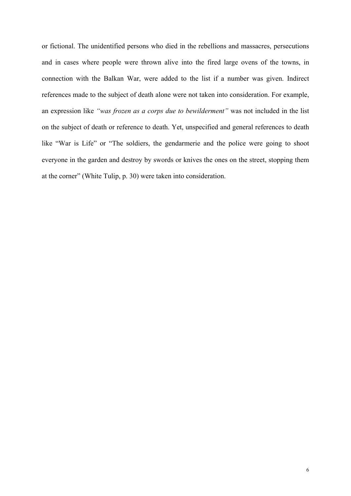or fictional. The unidentified persons who died in the rebellions and massacres, persecutions and in cases where people were thrown alive into the fired large ovens of the towns, in connection with the Balkan War, were added to the list if a number was given. Indirect references made to the subject of death alone were not taken into consideration. For example, an expression like *"was frozen as a corps due to bewilderment"* was not included in the list on the subject of death or reference to death. Yet, unspecified and general references to death like "War is Life" or "The soldiers, the gendarmerie and the police were going to shoot everyone in the garden and destroy by swords or knives the ones on the street, stopping them at the corner" (White Tulip, p. 30) were taken into consideration.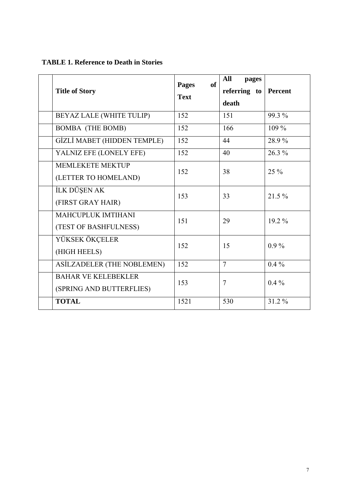| <b>Title of Story</b>                                  | of<br><b>Pages</b><br><b>Text</b> | All<br>pages<br>referring to<br>death | Percent  |
|--------------------------------------------------------|-----------------------------------|---------------------------------------|----------|
| BEYAZ LALE (WHITE TULIP)                               | 152                               | 151                                   | 99.3 %   |
| <b>BOMBA</b> (THE BOMB)                                | 152                               | 166                                   | 109 %    |
| GİZLİ MABET (HIDDEN TEMPLE)                            | 152                               | 44                                    | 28.9%    |
| YALNIZ EFE (LONELY EFE)                                | 152                               | 40                                    | $26.3\%$ |
| <b>MEMLEKETE MEKTUP</b><br>(LETTER TO HOMELAND)        | 152                               | 38                                    | $25\%$   |
| İLK DÜŞEN AK<br>(FIRST GRAY HAIR)                      | 153                               | 33                                    | $21.5\%$ |
| MAHCUPLUK IMTIHANI<br>(TEST OF BASHFULNESS)            | 151                               | 29                                    | 19.2 %   |
| YÜKSEK ÖKÇELER<br>(HIGH HEELS)                         | 152                               | 15                                    | $0.9\%$  |
| ASİLZADELER (THE NOBLEMEN)                             | 152                               | $\overline{7}$                        | $0.4\%$  |
| <b>BAHAR VE KELEBEKLER</b><br>(SPRING AND BUTTERFLIES) | 153                               | $\overline{7}$                        | $0.4\%$  |
| <b>TOTAL</b>                                           | 1521                              | 530                                   | 31.2 %   |

**TABLE 1. Reference to Death in Stories**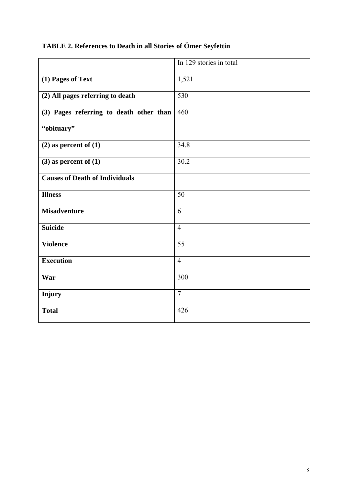# **TABLE 2. References to Death in all Stories of Ömer Seyfettin**

|                                         | In 129 stories in total |
|-----------------------------------------|-------------------------|
| (1) Pages of Text                       | 1,521                   |
| (2) All pages referring to death        | 530                     |
| (3) Pages referring to death other than | 460                     |
| "obituary"                              |                         |
| $(2)$ as percent of $(1)$               | 34.8                    |
| $(3)$ as percent of $(1)$               | 30.2                    |
| <b>Causes of Death of Individuals</b>   |                         |
| <b>Illness</b>                          | 50                      |
| <b>Misadventure</b>                     | 6                       |
| <b>Suicide</b>                          | $\overline{4}$          |
| <b>Violence</b>                         | 55                      |
| <b>Execution</b>                        | $\overline{4}$          |
| War                                     | 300                     |
| <b>Injury</b>                           | $\overline{7}$          |
| <b>Total</b>                            | 426                     |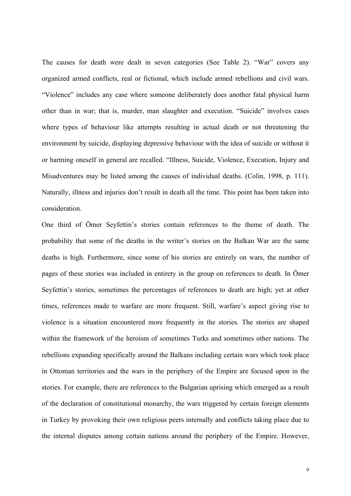The causes for death were dealt in seven categories (See Table 2). "War" covers any organized armed conflicts, real or fictional, which include armed rebellions and civil wars. "Violence" includes any case where someone deliberately does another fatal physical harm other than in war; that is, murder, man slaughter and execution. "Suicide" involves cases where types of behaviour like attempts resulting in actual death or not threatening the environment by suicide, displaying depressive behaviour with the idea of suicide or without it or harming oneself in general are recalled. "Illness, Suicide, Violence, Execution, Injury and Misadventures may be listed among the causes of individual deaths. (Colin, 1998, p. 111). Naturally, illness and injuries don't result in death all the time. This point has been taken into consideration.

One third of Ömer Seyfettin's stories contain references to the theme of death. The probability that some of the deaths in the writer's stories on the Balkan War are the same deaths is high. Furthermore, since some of his stories are entirely on wars, the number of pages of these stories was included in entirety in the group on references to death. In Ömer Seyfettin's stories, sometimes the percentages of references to death are high; yet at other times, references made to warfare are more frequent. Still, warfare's aspect giving rise to violence is a situation encountered more frequently in the stories. The stories are shaped within the framework of the heroism of sometimes Turks and sometimes other nations. The rebellions expanding specifically around the Balkans including certain wars which took place in Ottoman territories and the wars in the periphery of the Empire are focused upon in the stories. For example, there are references to the Bulgarian uprising which emerged as a result of the declaration of constitutional monarchy, the wars triggered by certain foreign elements in Turkey by provoking their own religious peers internally and conflicts taking place due to the internal disputes among certain nations around the periphery of the Empire. However,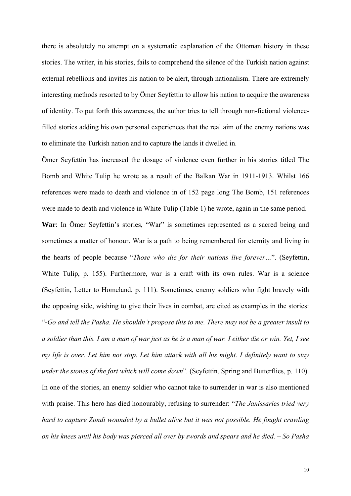there is absolutely no attempt on a systematic explanation of the Ottoman history in these stories. The writer, in his stories, fails to comprehend the silence of the Turkish nation against external rebellions and invites his nation to be alert, through nationalism. There are extremely interesting methods resorted to by Ömer Seyfettin to allow his nation to acquire the awareness of identity. To put forth this awareness, the author tries to tell through non-fictional violencefilled stories adding his own personal experiences that the real aim of the enemy nations was to eliminate the Turkish nation and to capture the lands it dwelled in.

Ömer Seyfettin has increased the dosage of violence even further in his stories titled The Bomb and White Tulip he wrote as a result of the Balkan War in 1911-1913. Whilst 166 references were made to death and violence in of 152 page long The Bomb, 151 references were made to death and violence in White Tulip (Table 1) he wrote, again in the same period.

**War**: In Ömer Seyfettin's stories, "War" is sometimes represented as a sacred being and sometimes a matter of honour. War is a path to being remembered for eternity and living in the hearts of people because "*Those who die for their nations live forever…*". (Seyfettin, White Tulip, p. 155). Furthermore, war is a craft with its own rules. War is a science (Seyfettin, Letter to Homeland, p. 111). Sometimes, enemy soldiers who fight bravely with the opposing side, wishing to give their lives in combat, are cited as examples in the stories: "-*Go and tell the Pasha. He shouldn't propose this to me. There may not be a greater insult to a soldier than this. I am a man of war just as he is a man of war. I either die or win. Yet, I see my life is over. Let him not stop. Let him attack with all his might. I definitely want to stay under the stones of the fort which will come down*". (Seyfettin, Spring and Butterflies, p. 110). In one of the stories, an enemy soldier who cannot take to surrender in war is also mentioned with praise. This hero has died honourably, refusing to surrender: "*The Janissaries tried very hard to capture Zondi wounded by a bullet alive but it was not possible. He fought crawling on his knees until his body was pierced all over by swords and spears and he died. – So Pasha*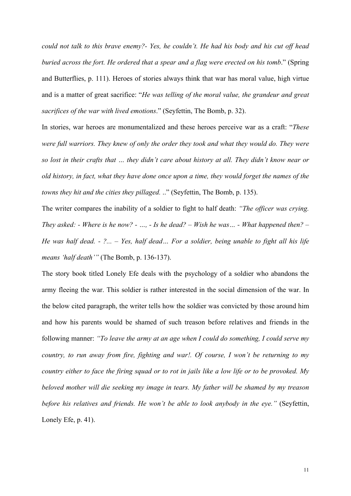*could not talk to this brave enemy?- Yes, he couldn't. He had his body and his cut off head buried across the fort. He ordered that a spear and a flag were erected on his tomb*." (Spring and Butterflies, p. 111). Heroes of stories always think that war has moral value, high virtue and is a matter of great sacrifice: "*He was telling of the moral value, the grandeur and great sacrifices of the war with lived emotions*." (Seyfettin, The Bomb, p. 32).

In stories, war heroes are monumentalized and these heroes perceive war as a craft: "*These were full warriors. They knew of only the order they took and what they would do. They were so lost in their crafts that … they didn't care about history at all. They didn't know near or old history, in fact, what they have done once upon a time, they would forget the names of the towns they hit and the cities they pillaged.* .." (Seyfettin, The Bomb, p. 135).

The writer compares the inability of a soldier to fight to half death: *"The officer was crying. They asked: - Where is he now? - …, - Is he dead? – Wish he was… - What happened then? – He was half dead. - ?... – Yes, half dead… For a soldier, being unable to fight all his life means 'half death'"* (The Bomb, p. 136-137).

The story book titled Lonely Efe deals with the psychology of a soldier who abandons the army fleeing the war. This soldier is rather interested in the social dimension of the war. In the below cited paragraph, the writer tells how the soldier was convicted by those around him and how his parents would be shamed of such treason before relatives and friends in the following manner: *"To leave the army at an age when I could do something, I could serve my country, to run away from fire, fighting and war!. Of course, I won't be returning to my country either to face the firing squad or to rot in jails like a low life or to be provoked. My beloved mother will die seeking my image in tears. My father will be shamed by my treason before his relatives and friends. He won't be able to look anybody in the eye."* (Seyfettin, Lonely Efe, p. 41).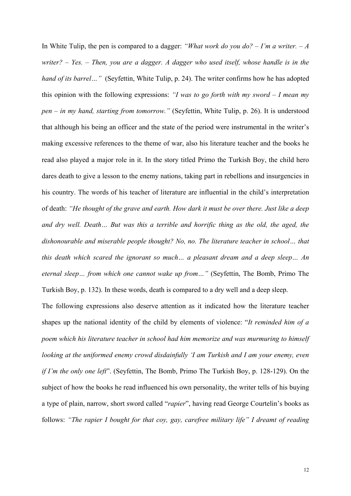In White Tulip, the pen is compared to a dagger: *"What work do you do? – I'm a writer. – A writer? – Yes. – Then, you are a dagger. A dagger who used itself, whose handle is in the hand of its barrel...*" (Seyfettin, White Tulip, p. 24). The writer confirms how he has adopted this opinion with the following expressions: *"I was to go forth with my sword – I mean my pen – in my hand, starting from tomorrow."* (Seyfettin, White Tulip, p. 26). It is understood that although his being an officer and the state of the period were instrumental in the writer's making excessive references to the theme of war, also his literature teacher and the books he read also played a major role in it. In the story titled Primo the Turkish Boy, the child hero dares death to give a lesson to the enemy nations, taking part in rebellions and insurgencies in his country. The words of his teacher of literature are influential in the child's interpretation of death: *"He thought of the grave and earth. How dark it must be over there. Just like a deep and dry well. Death… But was this a terrible and horrific thing as the old, the aged, the dishonourable and miserable people thought? No, no. The literature teacher in school… that this death which scared the ignorant so much… a pleasant dream and a deep sleep… An eternal sleep… from which one cannot wake up from…"* (Seyfettin, The Bomb, Primo The Turkish Boy, p. 132). In these words, death is compared to a dry well and a deep sleep.

The following expressions also deserve attention as it indicated how the literature teacher shapes up the national identity of the child by elements of violence: "*It reminded him of a poem which his literature teacher in school had him memorize and was murmuring to himself looking at the uniformed enemy crowd disdainfully 'I am Turkish and I am your enemy, even if I'm the only one left*". (Seyfettin, The Bomb, Primo The Turkish Boy, p. 128-129). On the subject of how the books he read influenced his own personality, the writer tells of his buying a type of plain, narrow, short sword called "*rapier*", having read George Courtelin's books as follows: *"The rapier I bought for that coy, gay, carefree military life" I dreamt of reading*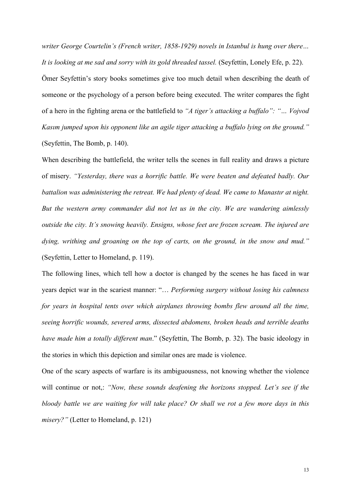*writer George Courtelin's (French writer, 1858-1929) novels in Istanbul is hung over there… It is looking at me sad and sorry with its gold threaded tassel.* (Seyfettin, Lonely Efe, p. 22).

Ömer Seyfettin's story books sometimes give too much detail when describing the death of someone or the psychology of a person before being executed. The writer compares the fight of a hero in the fighting arena or the battlefield to *"A tiger's attacking a buffalo": "… Vojvod Kasım jumped upon his opponent like an agile tiger attacking a buffalo lying on the ground."*  (Seyfettin, The Bomb, p. 140).

When describing the battlefield, the writer tells the scenes in full reality and draws a picture of misery. *"Yesterday, there was a horrific battle. We were beaten and defeated badly. Our battalion was administering the retreat. We had plenty of dead. We came to Manastır at night. But the western army commander did not let us in the city. We are wandering aimlessly outside the city. It's snowing heavily. Ensigns, whose feet are frozen scream. The injured are dying, writhing and groaning on the top of carts, on the ground, in the snow and mud."*  (Seyfettin, Letter to Homeland, p. 119).

The following lines, which tell how a doctor is changed by the scenes he has faced in war years depict war in the scariest manner: "… *Performing surgery without losing his calmness for years in hospital tents over which airplanes throwing bombs flew around all the time, seeing horrific wounds, severed arms, dissected abdomens, broken heads and terrible deaths have made him a totally different man*." (Seyfettin, The Bomb, p. 32). The basic ideology in the stories in which this depiction and similar ones are made is violence.

One of the scary aspects of warfare is its ambiguousness, not knowing whether the violence will continue or not,: *"Now, these sounds deafening the horizons stopped. Let's see if the bloody battle we are waiting for will take place? Or shall we rot a few more days in this misery?"* (Letter to Homeland, p. 121)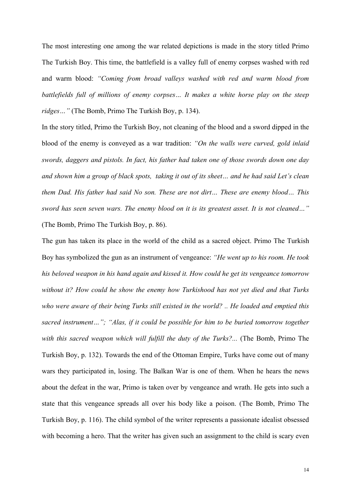The most interesting one among the war related depictions is made in the story titled Primo The Turkish Boy. This time, the battlefield is a valley full of enemy corpses washed with red and warm blood: *"Coming from broad valleys washed with red and warm blood from battlefields full of millions of enemy corpses… It makes a white horse play on the steep ridges…"* (The Bomb, Primo The Turkish Boy, p. 134).

In the story titled, Primo the Turkish Boy, not cleaning of the blood and a sword dipped in the blood of the enemy is conveyed as a war tradition: *"On the walls were curved, gold inlaid swords, daggers and pistols. In fact, his father had taken one of those swords down one day and shown him a group of black spots, taking it out of its sheet… and he had said Let's clean them Dad. His father had said No son. These are not dirt… These are enemy blood… This sword has seen seven wars. The enemy blood on it is its greatest asset. It is not cleaned…"*  (The Bomb, Primo The Turkish Boy, p. 86).

The gun has taken its place in the world of the child as a sacred object. Primo The Turkish Boy has symbolized the gun as an instrument of vengeance: *"He went up to his room. He took his beloved weapon in his hand again and kissed it. How could he get its vengeance tomorrow without it? How could he show the enemy how Turkishood has not yet died and that Turks who were aware of their being Turks still existed in the world? .. He loaded and emptied this sacred instrument…"; "Alas, if it could be possible for him to be buried tomorrow together*  with this sacred weapon which will fulfill the duty of the Turks?... (The Bomb, Primo The Turkish Boy, p. 132). Towards the end of the Ottoman Empire, Turks have come out of many wars they participated in, losing. The Balkan War is one of them. When he hears the news about the defeat in the war, Primo is taken over by vengeance and wrath. He gets into such a state that this vengeance spreads all over his body like a poison. (The Bomb, Primo The Turkish Boy, p. 116). The child symbol of the writer represents a passionate idealist obsessed with becoming a hero. That the writer has given such an assignment to the child is scary even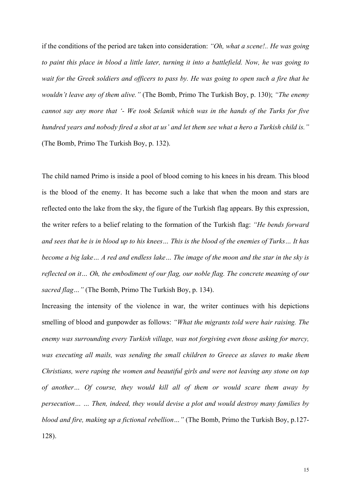if the conditions of the period are taken into consideration: *"Oh, what a scene!.. He was going to paint this place in blood a little later, turning it into a battlefield. Now, he was going to wait for the Greek soldiers and officers to pass by. He was going to open such a fire that he wouldn't leave any of them alive."* (The Bomb, Primo The Turkish Boy, p. 130); *"The enemy cannot say any more that '- We took Selanik which was in the hands of the Turks for five hundred years and nobody fired a shot at us' and let them see what a hero a Turkish child is."*  (The Bomb, Primo The Turkish Boy, p. 132).

The child named Primo is inside a pool of blood coming to his knees in his dream. This blood is the blood of the enemy. It has become such a lake that when the moon and stars are reflected onto the lake from the sky, the figure of the Turkish flag appears. By this expression, the writer refers to a belief relating to the formation of the Turkish flag: *"He bends forward and sees that he is in blood up to his knees… This is the blood of the enemies of Turks… It has become a big lake… A red and endless lake… The image of the moon and the star in the sky is reflected on it… Oh, the embodiment of our flag, our noble flag. The concrete meaning of our sacred flag…"* (The Bomb, Primo The Turkish Boy, p. 134).

Increasing the intensity of the violence in war, the writer continues with his depictions smelling of blood and gunpowder as follows: *"What the migrants told were hair raising. The enemy was surrounding every Turkish village, was not forgiving even those asking for mercy, was executing all mails, was sending the small children to Greece as slaves to make them Christians, were raping the women and beautiful girls and were not leaving any stone on top of another… Of course, they would kill all of them or would scare them away by persecution… … Then, indeed, they would devise a plot and would destroy many families by blood and fire, making up a fictional rebellion…"* (The Bomb, Primo the Turkish Boy, p.127- 128).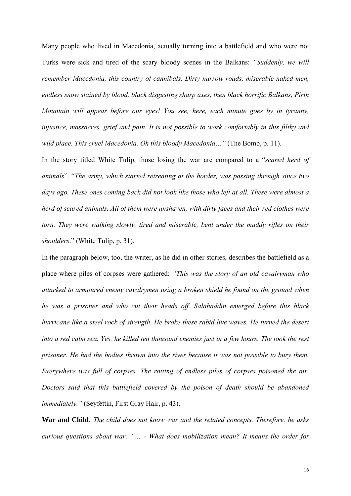Many people who lived in Macedonia, actually turning into a battlefield and who were not Turks were sick and tired of the scary bloody scenes in the Balkans: *"Suddenly, we will remember Macedonia, this country of cannibals. Dirty narrow roads, miserable naked men, endless snow stained by blood, black disgusting sharp axes, then black horrific Balkans, Pirin Mountain will appear before our eyes! You see, here, each minute goes by in tyranny, injustice, massacres, grief and pain. It is not possible to work comfortably in this filthy and wild place. This cruel Macedonia. Oh this bloody Macedonia…"* (The Bomb, p. 11).

In the story titled White Tulip, those losing the war are compared to a "*scared herd of animals*". "*The army, which started retreating at the border, was passing through since two days ago. These ones coming back did not look like those who left at all. These were almost a herd of scared animals. All of them were unshaven, with dirty faces and their red clothes were torn. They were walking slowly, tired and miserable, bent under the muddy rifles on their shoulders*." (White Tulip, p. 31).

In the paragraph below, too, the writer, as he did in other stories, describes the battlefield as a place where piles of corpses were gathered: *"This was the story of an old cavalryman who attacked to armoured enemy cavalrymen using a broken shield he found on the ground when he was a prisoner and who cut their heads off. Salahaddin emerged before this black hurricane like a steel rock of strength. He broke these rabid live waves. He turned the desert into a red calm sea. Yes, he killed ten thousand enemies just in a few hours. The took the rest prisoner. He had the bodies thrown into the river because it was not possible to bury them. Everywhere was full of corpses. The rotting of endless piles of corpses poisoned the air. Doctors said that this battlefield covered by the poison of death should be abandoned immediately."* (Seyfettin, First Gray Hair, p. 43).

**War and Child***: The child does not know war and the related concepts. Therefore, he asks curious questions about war: "… - What does mobilization mean? It means the order for*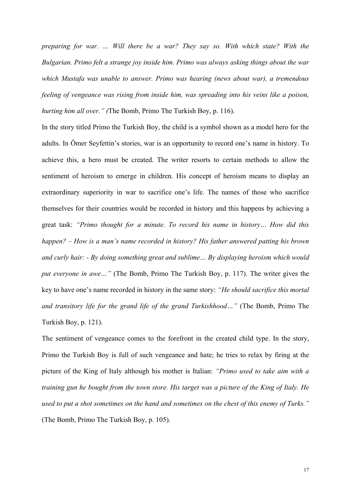*preparing for war. … Will there be a war? They say so. With which state? With the Bulgarian. Primo felt a strange joy inside him. Primo was always asking things about the war which Mustafa was unable to answer. Primo was hearing (news about war), a tremendous feeling of vengeance was rising from inside him, was spreading into his veins like a poison, hurting him all over." (*The Bomb, Primo The Turkish Boy, p. 116).

In the story titled Primo the Turkish Boy, the child is a symbol shown as a model hero for the adults. In Ömer Seyfettin's stories, war is an opportunity to record one's name in history. To achieve this, a hero must be created. The writer resorts to certain methods to allow the sentiment of heroism to emerge in children. His concept of heroism means to display an extraordinary superiority in war to sacrifice one's life. The names of those who sacrifice themselves for their countries would be recorded in history and this happens by achieving a great task: *"Primo thought for a minute. To record his name in history… How did this happen? – How is a man's name recorded in history? His father answered patting his brown and curly hair: - By doing something great and sublime… By displaying heroism which would put everyone in awe…"* (The Bomb, Primo The Turkish Boy, p. 117). The writer gives the key to have one's name recorded in history in the same story: *"He should sacrifice this mortal and transitory life for the grand life of the grand Turkishhood…"* (The Bomb, Primo The Turkish Boy, p. 121).

The sentiment of vengeance comes to the forefront in the created child type. In the story, Primo the Turkish Boy is full of such vengeance and hate; he tries to relax by firing at the picture of the King of Italy although his mother is Italian: *"Primo used to take aim with a training gun he bought from the town store. His target was a picture of the King of Italy. He used to put a shot sometimes on the hand and sometimes on the chest of this enemy of Turks."*  (The Bomb, Primo The Turkish Boy, p. 105).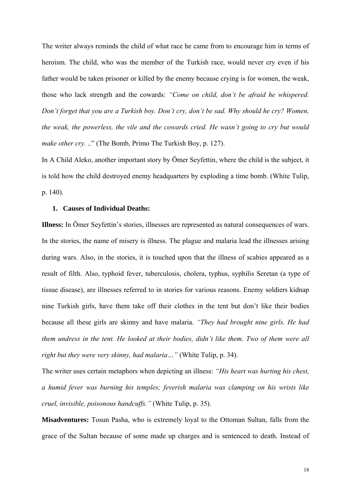The writer always reminds the child of what race he came from to encourage him in terms of heroism. The child, who was the member of the Turkish race, would never cry even if his father would be taken prisoner or killed by the enemy because crying is for women, the weak, those who lack strength and the cowards: *"Come on child, don't be afraid he whispered. Don't forget that you are a Turkish boy. Don't cry, don't be sad. Why should he cry? Women, the weak, the powerless, the vile and the cowards cried. He wasn't going to cry but would make other cry.* .." (The Bomb, Primo The Turkish Boy, p. 127).

In A Child Aleko, another important story by Ömer Seyfettin, where the child is the subject, it is told how the child destroyed enemy headquarters by exploding a time bomb. (White Tulip, p. 140).

#### **1. Causes of Individual Deaths:**

**Illness:** In Ömer Seyfettin's stories, illnesses are represented as natural consequences of wars. In the stories, the name of misery is illness. The plague and malaria lead the illnesses arising during wars. Also, in the stories, it is touched upon that the illness of scabies appeared as a result of filth. Also, typhoid fever, tuberculosis, cholera, typhus, syphilis Seretan (a type of tissue disease), are illnesses referred to in stories for various reasons. Enemy soldiers kidnap nine Turkish girls, have them take off their clothes in the tent but don't like their bodies because all these girls are skinny and have malaria. *"They had brought nine girls. He had them undress in the tent. He looked at their bodies, didn't like them. Two of them were all right but they were very skinny, had malaria…"* (White Tulip, p. 34).

The writer uses certain metaphors when depicting an illness: *"His heart was hurting his chest, a humid fever was burning his temples; feverish malaria was clamping on his wrists like cruel, invisible, poisonous handcuffs."* (White Tulip, p. 35).

**Misadventures:** Tosun Pasha, who is extremely loyal to the Ottoman Sultan, falls from the grace of the Sultan because of some made up charges and is sentenced to death. Instead of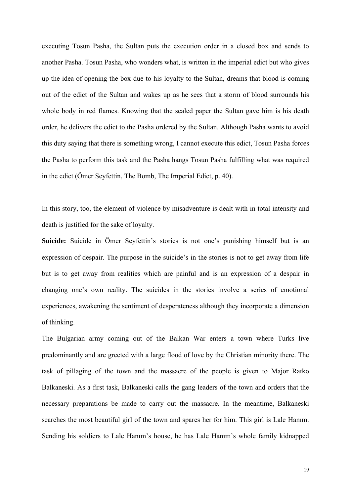executing Tosun Pasha, the Sultan puts the execution order in a closed box and sends to another Pasha. Tosun Pasha, who wonders what, is written in the imperial edict but who gives up the idea of opening the box due to his loyalty to the Sultan, dreams that blood is coming out of the edict of the Sultan and wakes up as he sees that a storm of blood surrounds his whole body in red flames. Knowing that the sealed paper the Sultan gave him is his death order, he delivers the edict to the Pasha ordered by the Sultan. Although Pasha wants to avoid this duty saying that there is something wrong, I cannot execute this edict, Tosun Pasha forces the Pasha to perform this task and the Pasha hangs Tosun Pasha fulfilling what was required in the edict (Ömer Seyfettin, The Bomb, The Imperial Edict, p. 40).

In this story, too, the element of violence by misadventure is dealt with in total intensity and death is justified for the sake of loyalty.

**Suicide:** Suicide in Ömer Seyfettin's stories is not one's punishing himself but is an expression of despair. The purpose in the suicide's in the stories is not to get away from life but is to get away from realities which are painful and is an expression of a despair in changing one's own reality. The suicides in the stories involve a series of emotional experiences, awakening the sentiment of desperateness although they incorporate a dimension of thinking.

The Bulgarian army coming out of the Balkan War enters a town where Turks live predominantly and are greeted with a large flood of love by the Christian minority there. The task of pillaging of the town and the massacre of the people is given to Major Ratko Balkaneski. As a first task, Balkaneski calls the gang leaders of the town and orders that the necessary preparations be made to carry out the massacre. In the meantime, Balkaneski searches the most beautiful girl of the town and spares her for him. This girl is Lale Hanım. Sending his soldiers to Lale Hanım's house, he has Lale Hanım's whole family kidnapped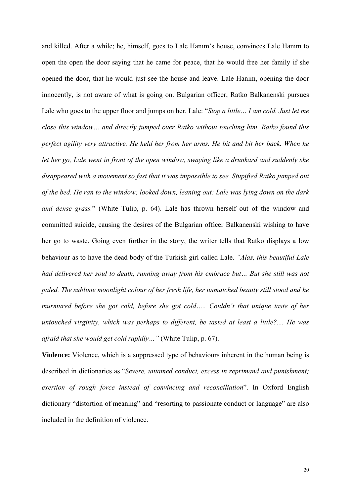and killed. After a while; he, himself, goes to Lale Hanım's house, convinces Lale Hanım to open the open the door saying that he came for peace, that he would free her family if she opened the door, that he would just see the house and leave. Lale Hanım, opening the door innocently, is not aware of what is going on. Bulgarian officer, Ratko Balkanenski pursues Lale who goes to the upper floor and jumps on her. Lale: "*Stop a little… I am cold. Just let me close this window… and directly jumped over Ratko without touching him. Ratko found this perfect agility very attractive. He held her from her arms. He bit and bit her back. When he let her go, Lale went in front of the open window, swaying like a drunkard and suddenly she disappeared with a movement so fast that it was impossible to see. Stupified Ratko jumped out of the bed. He ran to the window; looked down, leaning out: Lale was lying down on the dark and dense grass.*" (White Tulip, p. 64). Lale has thrown herself out of the window and committed suicide, causing the desires of the Bulgarian officer Balkanenski wishing to have her go to waste. Going even further in the story, the writer tells that Ratko displays a low behaviour as to have the dead body of the Turkish girl called Lale. *"Alas, this beautiful Lale had delivered her soul to death, running away from his embrace but… But she still was not paled. The sublime moonlight colour of her fresh life, her unmatched beauty still stood and he murmured before she got cold, before she got cold….. Couldn't that unique taste of her untouched virginity, which was perhaps to different, be tasted at least a little?.... He was afraid that she would get cold rapidly…"* (White Tulip, p. 67).

**Violence:** Violence, which is a suppressed type of behaviours inherent in the human being is described in dictionaries as "*Severe, untamed conduct, excess in reprimand and punishment; exertion of rough force instead of convincing and reconciliation*". In Oxford English dictionary "distortion of meaning" and "resorting to passionate conduct or language" are also included in the definition of violence.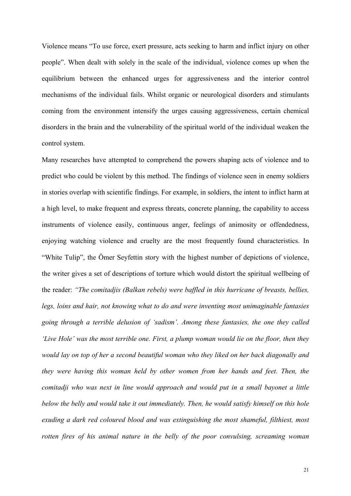Violence means "To use force, exert pressure, acts seeking to harm and inflict injury on other people". When dealt with solely in the scale of the individual, violence comes up when the equilibrium between the enhanced urges for aggressiveness and the interior control mechanisms of the individual fails. Whilst organic or neurological disorders and stimulants coming from the environment intensify the urges causing aggressiveness, certain chemical disorders in the brain and the vulnerability of the spiritual world of the individual weaken the control system.

Many researches have attempted to comprehend the powers shaping acts of violence and to predict who could be violent by this method. The findings of violence seen in enemy soldiers in stories overlap with scientific findings. For example, in soldiers, the intent to inflict harm at a high level, to make frequent and express threats, concrete planning, the capability to access instruments of violence easily, continuous anger, feelings of animosity or offendedness, enjoying watching violence and cruelty are the most frequently found characteristics. In "White Tulip", the Ömer Seyfettin story with the highest number of depictions of violence, the writer gives a set of descriptions of torture which would distort the spiritual wellbeing of the reader: *"The comitadjis (Balkan rebels) were baffled in this hurricane of breasts, bellies, legs, loins and hair, not knowing what to do and were inventing most unimaginable fantasies going through a terrible delusion of 'sadism'. Among these fantasies, the one they called 'Live Hole' was the most terrible one. First, a plump woman would lie on the floor, then they would lay on top of her a second beautiful woman who they liked on her back diagonally and they were having this woman held by other women from her hands and feet. Then, the comitadji who was next in line would approach and would put in a small bayonet a little below the belly and would take it out immediately. Then, he would satisfy himself on this hole exuding a dark red coloured blood and was extinguishing the most shameful, filthiest, most rotten fires of his animal nature in the belly of the poor convulsing, screaming woman*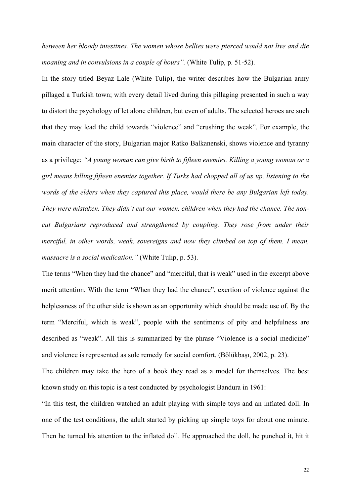*between her bloody intestines. The women whose bellies were pierced would not live and die moaning and in convulsions in a couple of hours".* (White Tulip, p. 51-52).

In the story titled Beyaz Lale (White Tulip), the writer describes how the Bulgarian army pillaged a Turkish town; with every detail lived during this pillaging presented in such a way to distort the psychology of let alone children, but even of adults. The selected heroes are such that they may lead the child towards "violence" and "crushing the weak". For example, the main character of the story, Bulgarian major Ratko Balkanenski, shows violence and tyranny as a privilege: *"A young woman can give birth to fifteen enemies. Killing a young woman or a girl means killing fifteen enemies together. If Turks had chopped all of us up, listening to the words of the elders when they captured this place, would there be any Bulgarian left today. They were mistaken. They didn't cut our women, children when they had the chance. The noncut Bulgarians reproduced and strengthened by coupling. They rose from under their merciful, in other words, weak, sovereigns and now they climbed on top of them. I mean, massacre is a social medication."* (White Tulip, p. 53).

The terms "When they had the chance" and "merciful, that is weak" used in the excerpt above merit attention. With the term "When they had the chance", exertion of violence against the helplessness of the other side is shown as an opportunity which should be made use of. By the term "Merciful, which is weak", people with the sentiments of pity and helpfulness are described as "weak". All this is summarized by the phrase "Violence is a social medicine" and violence is represented as sole remedy for social comfort. (Bölükbaşı, 2002, p. 23).

The children may take the hero of a book they read as a model for themselves. The best known study on this topic is a test conducted by psychologist Bandura in 1961:

"In this test, the children watched an adult playing with simple toys and an inflated doll. In one of the test conditions, the adult started by picking up simple toys for about one minute. Then he turned his attention to the inflated doll. He approached the doll, he punched it, hit it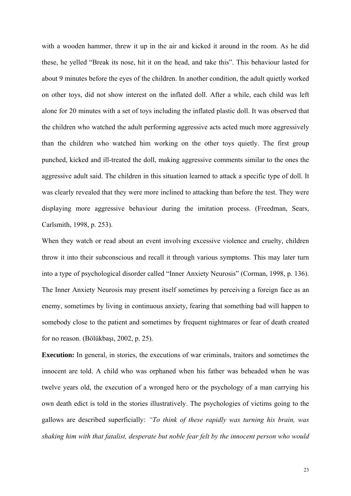with a wooden hammer, threw it up in the air and kicked it around in the room. As he did these, he yelled "Break its nose, hit it on the head, and take this". This behaviour lasted for about 9 minutes before the eyes of the children. In another condition, the adult quietly worked on other toys, did not show interest on the inflated doll. After a while, each child was left alone for 20 minutes with a set of toys including the inflated plastic doll. It was observed that the children who watched the adult performing aggressive acts acted much more aggressively than the children who watched him working on the other toys quietly. The first group punched, kicked and ill-treated the doll, making aggressive comments similar to the ones the aggressive adult said. The children in this situation learned to attack a specific type of doll. It was clearly revealed that they were more inclined to attacking than before the test. They were displaying more aggressive behaviour during the imitation process. (Freedman, Sears, Carlsmith, 1998, p. 253).

When they watch or read about an event involving excessive violence and cruelty, children throw it into their subconscious and recall it through various symptoms. This may later turn into a type of psychological disorder called "Inner Anxiety Neurosis" (Corman, 1998, p. 136). The Inner Anxiety Neurosis may present itself sometimes by perceiving a foreign face as an enemy, sometimes by living in continuous anxiety, fearing that something bad will happen to somebody close to the patient and sometimes by frequent nightmares or fear of death created for no reason. (Bölükbaşı, 2002, p. 25).

**Execution:** In general, in stories, the executions of war criminals, traitors and sometimes the innocent are told. A child who was orphaned when his father was beheaded when he was twelve years old, the execution of a wronged hero or the psychology of a man carrying his own death edict is told in the stories illustratively. The psychologies of victims going to the gallows are described superficially: *"To think of these rapidly was turning his brain, was shaking him with that fatalist, desperate but noble fear felt by the innocent person who would*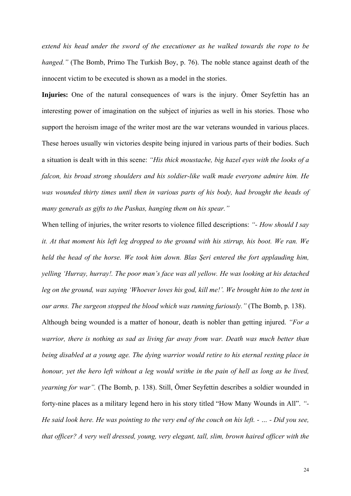*extend his head under the sword of the executioner as he walked towards the rope to be hanged."* (The Bomb, Primo The Turkish Boy, p. 76). The noble stance against death of the innocent victim to be executed is shown as a model in the stories.

**Injuries:** One of the natural consequences of wars is the injury. Ömer Seyfettin has an interesting power of imagination on the subject of injuries as well in his stories. Those who support the heroism image of the writer most are the war veterans wounded in various places. These heroes usually win victories despite being injured in various parts of their bodies. Such a situation is dealt with in this scene: *"His thick moustache, big hazel eyes with the looks of a falcon, his broad strong shoulders and his soldier-like walk made everyone admire him. He was wounded thirty times until then in various parts of his body, had brought the heads of many generals as gifts to the Pashas, hanging them on his spear."* 

When telling of injuries, the writer resorts to violence filled descriptions: *"- How should I say it. At that moment his left leg dropped to the ground with his stirrup, his boot. We ran. We held the head of the horse. We took him down. Blas Şeri entered the fort applauding him, yelling 'Hurray, hurray!. The poor man's face was all yellow. He was looking at his detached leg on the ground, was saying 'Whoever loves his god, kill me!'. We brought him to the tent in our arms. The surgeon stopped the blood which was running furiously."* (The Bomb, p. 138).

Although being wounded is a matter of honour, death is nobler than getting injured. *"For a warrior, there is nothing as sad as living far away from war. Death was much better than being disabled at a young age. The dying warrior would retire to his eternal resting place in honour, yet the hero left without a leg would writhe in the pain of hell as long as he lived, yearning for war".* (The Bomb, p. 138). Still, Ömer Seyfettin describes a soldier wounded in forty-nine places as a military legend hero in his story titled "How Many Wounds in All". *"- He said look here. He was pointing to the very end of the couch on his left. - … - Did you see, that officer? A very well dressed, young, very elegant, tall, slim, brown haired officer with the*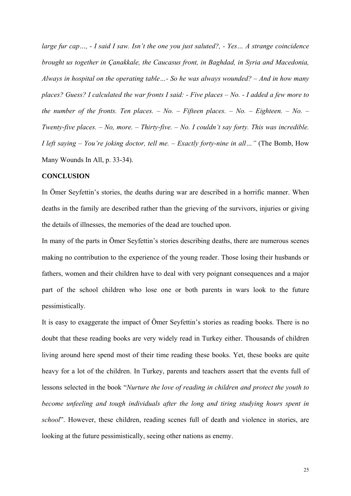*large fur cap…, - I said I saw. Isn't the one you just saluted?, - Yes… A strange coincidence brought us together in Çanakkale, the Caucasus front, in Baghdad, in Syria and Macedonia, Always in hospital on the operating table…- So he was always wounded? – And in how many places? Guess? I calculated the war fronts I said: - Five places – No. - I added a few more to the number of the fronts. Ten places. – No. – Fifteen places. – No. – Eighteen. – No. – Twenty-five places. – No, more. – Thirty-five. – No. I couldn't say forty. This was incredible. I left saying – You're joking doctor, tell me. – Exactly forty-nine in all…"* (The Bomb, How Many Wounds In All, p. 33-34).

### **CONCLUSION**

In Ömer Seyfettin's stories, the deaths during war are described in a horrific manner. When deaths in the family are described rather than the grieving of the survivors, injuries or giving the details of illnesses, the memories of the dead are touched upon.

In many of the parts in Ömer Seyfettin's stories describing deaths, there are numerous scenes making no contribution to the experience of the young reader. Those losing their husbands or fathers, women and their children have to deal with very poignant consequences and a major part of the school children who lose one or both parents in wars look to the future pessimistically.

It is easy to exaggerate the impact of Ömer Seyfettin's stories as reading books. There is no doubt that these reading books are very widely read in Turkey either. Thousands of children living around here spend most of their time reading these books. Yet, these books are quite heavy for a lot of the children. In Turkey, parents and teachers assert that the events full of lessons selected in the book "*Nurture the love of reading in children and protect the youth to become unfeeling and tough individuals after the long and tiring studying hours spent in school*". However, these children, reading scenes full of death and violence in stories, are looking at the future pessimistically, seeing other nations as enemy.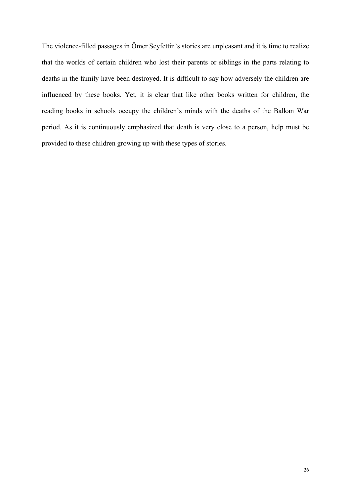The violence-filled passages in Ömer Seyfettin's stories are unpleasant and it is time to realize that the worlds of certain children who lost their parents or siblings in the parts relating to deaths in the family have been destroyed. It is difficult to say how adversely the children are influenced by these books. Yet, it is clear that like other books written for children, the reading books in schools occupy the children's minds with the deaths of the Balkan War period. As it is continuously emphasized that death is very close to a person, help must be provided to these children growing up with these types of stories.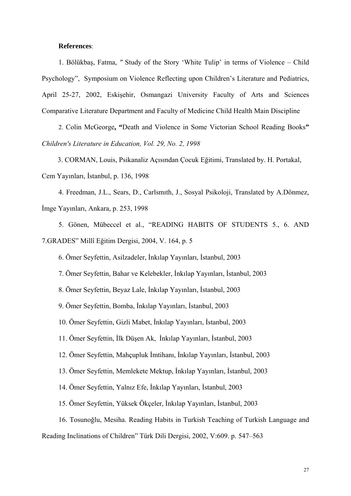### **References**:

1. Bölükbaş, Fatma, *"* Study of the Story 'White Tulip' in terms of Violence – Child Psychology", Symposium on Violence Reflecting upon Children's Literature and Pediatrics, April 25-27, 2002, Eskişehir, Osmangazi University Faculty of Arts and Sciences Comparative Literature Department and Faculty of Medicine Child Health Main Discipline

2. Colin McGeorge**, "**Death and Violence in Some Victorian School Reading Books**"**  *Children's Literature in Education, Vol. 29, No. 2, 1998* 

3. CORMAN, Louis, Psikanaliz Açısından Çocuk Eğitimi, Translated by. H. Portakal, Cem Yayınları, İstanbul, p. 136, 1998

4. Freedman, J.L., Sears, D., Carlsmıth, J., Sosyal Psikoloji, Translated by A.Dönmez, İmge Yayınları, Ankara, p. 253, 1998

5. Gönen, Mübeccel et al., "READING HABITS OF STUDENTS 5., 6. AND 7.GRADES" Millî Eğitim Dergisi, 2004, V. 164, p. 5

6. Ömer Seyfettin, Asilzadeler, İnkılap Yayınları, İstanbul, 2003

7. Ömer Seyfettin, Bahar ve Kelebekler, İnkılap Yayınları, İstanbul, 2003

8. Ömer Seyfettin, Beyaz Lale, İnkılap Yayınları, İstanbul, 2003

9. Ömer Seyfettin, Bomba, İnkılap Yayınları, İstanbul, 2003

10. Ömer Seyfettin, Gizli Mabet, İnkılap Yayınları, İstanbul, 2003

11. Ömer Seyfettin, İlk Düşen Ak, İnkılap Yayınları, İstanbul, 2003

12. Ömer Seyfettin, Mahçupluk İmtihanı, İnkılap Yayınları, İstanbul, 2003

13. Ömer Seyfettin, Memlekete Mektup, İnkılap Yayınları, İstanbul, 2003

14. Ömer Seyfettin, Yalnız Efe, İnkılap Yayınları, İstanbul, 2003

15. Ömer Seyfettin, Yüksek Ökçeler, İnkılap Yayınları, İstanbul, 2003

16. Tosunoğlu, Mesiha. Reading Habits in Turkish Teaching of Turkish Language and

Reading Inclinations of Children" Türk Dili Dergisi, 2002, V:609. p. 547–563